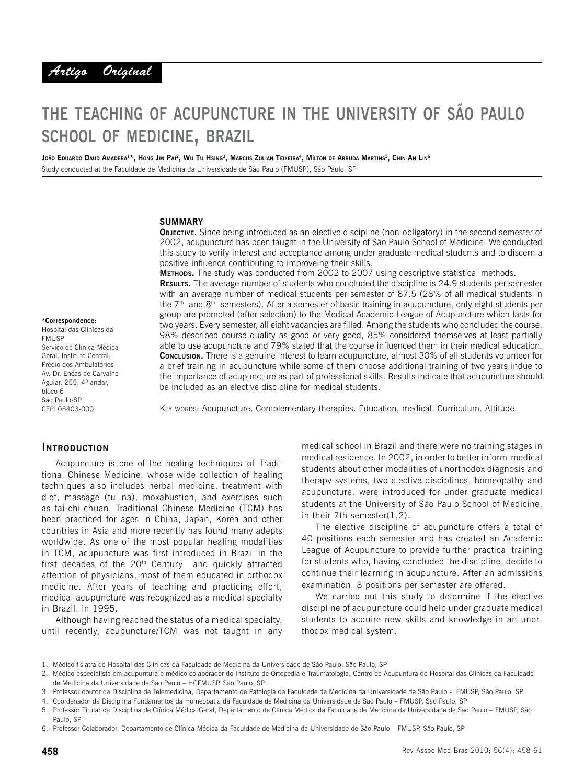

# **the teaching of acupuncture in the university of são paulo school of medicine, brazil**

João Eduardo Daud Amadera<sup>1x</sup>, Hong Jin Pai<sup>2</sup>, Wu Tu Hsing<sup>3</sup>, Marcus Zulian Teixeira<sup>4</sup>, Mílton de Arruda Martins<sup>5</sup>, Chin An Lin<sup>g</sup> Study conducted at the Faculdade de Medicina da Universidade de São Paulo (FMUSP), São Paulo, SP

#### **Summary**

**OBJECTIVE.** Since being introduced as an elective discipline (non-obligatory) in the second semester of 2002, acupuncture has been taught in the University of São Paulo School of Medicine. We conducted this study to verify interest and acceptance among under graduate medical students and to discern a positive influence contributing to improveing their skills.

**Methods.** The study was conducted from 2002 to 2007 using descriptive statistical methods.

**Results.** The average number of students who concluded the discipline is 24.9 students per semester with an average number of medical students per semester of 87.5 (28% of all medical students in the  $7<sup>th</sup>$  and  $8<sup>th</sup>$  semesters). After a semester of basic training in acupuncture, only eight students per group are promoted (after selection) to the Medical Academic League of Acupuncture which lasts for two years. Every semester, all eight vacancies are filled. Among the students who concluded the course, 98% described course quality as good or very good, 85% considered themselves at least partially able to use acupuncture and 79% stated that the course influenced them in their medical education. **Conclusion.** There is a genuine interest to learn acupuncture, almost 30% of all students volunteer for a brief training in acupuncture while some of them choose additional training of two years indue to the importance of acupuncture as part of professional skills. Results indicate that acupuncture should be included as an elective discipline for medical students.

Key words: Acupuncture. Complementary therapies. Education, medical. Curriculum. Attitude.

## **Introduction**

**\*Correspondence:**  Hospital das Clínicas da

Serviço de Clínica Médica Geral. Instituto Central. Prédio dos Ambulatórios Av. Dr. Enéas de Carvalho Aguiar, 255, 4º andar,

**FMUSP** 

bloco 6 São Paulo-SP CEP: 05403-000

Acupuncture is one of the healing techniques of Traditional Chinese Medicine, whose wide collection of healing techniques also includes herbal medicine, treatment with diet, massage (tui-na), moxabustion, and exercises such as tai-chi-chuan. Traditional Chinese Medicine (TCM) has been practiced for ages in China, Japan, Korea and other countries in Asia and more recently has found many adepts worldwide. As one of the most popular healing modalities in TCM, acupuncture was first introduced in Brazil in the first decades of the 20<sup>th</sup> Century and quickly attracted attention of physicians, most of them educated in orthodox medicine. After years of teaching and practicing effort, medical acupuncture was recognized as a medical specialty in Brazil, in 1995.

Although having reached the status of a medical specialty, until recently, acupuncture/TCM was not taught in any medical school in Brazil and there were no training stages in medical residence. In 2002, in order to better inform medical students about other modalities of unorthodox diagnosis and therapy systems, two elective disciplines, homeopathy and acupuncture, were introduced for under graduate medical students at the University of São Paulo School of Medicine, in their 7th semester(1,2).

The elective discipline of acupuncture offers a total of 40 positions each semester and has created an Academic League of Acupuncture to provide further practical training for students who, having concluded the discipline, decide to continue their learning in acupuncture. After an admissions examination, 8 positions per semester are offered.

We carried out this study to determine if the elective discipline of acupuncture could help under graduate medical students to acquire new skills and knowledge in an unorthodox medical system.

<sup>1.</sup> Médico fisiatra do Hospital das Clínicas da Faculdade de Medicina da Universidade de São Paulo, São Paulo, SP

<sup>2.</sup> Médico especialista em acupuntura e médico colaborador do Instituto de Ortopedia e Traumatologia, Centro de Acupuntura do Hospital das Clínicas da Faculdade de Medicina da Universidade de São Paulo – HCFMUSP, São Paulo, SP

<sup>3.</sup> Professor doutor da Disciplina de Telemedicina, Departamento de Patologia da Faculdade de Medicina da Universidade de São Paulo - FMUSP, São Paulo, SP

<sup>4.</sup> Coordenador da Disciplina Fundamentos da Homeopatia da Faculdade de Medicina da Universidade de São Paulo – FMUSP, São Paulo, SP

<sup>5.</sup> Professor Titular da Disciplina de Clínica Médica Geral, Departamento de Clínica Médica da Faculdade de Medicina da Universidade de São Paulo – FMUSP, São Paulo, SP

<sup>6.</sup> Professor Colaborador, Departamento de Clínica Médica da Faculdade de Medicina da Universidade de São Paulo – FMUSP, São Paulo, SP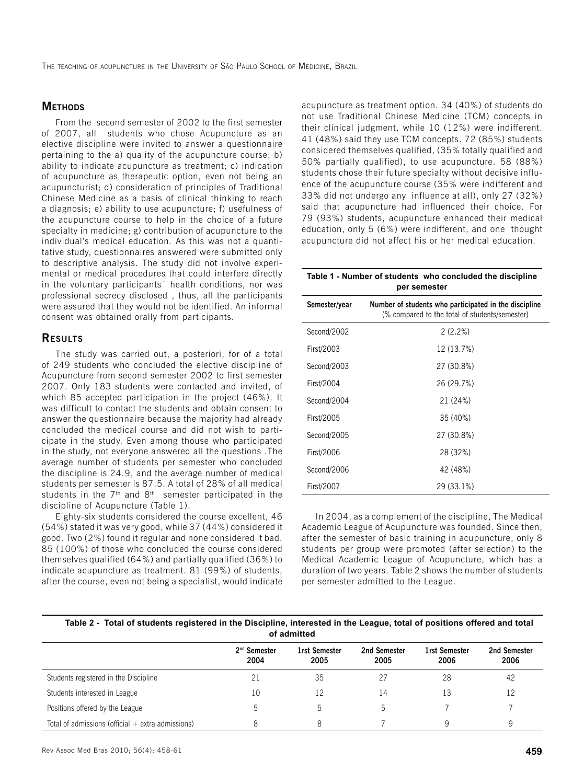# **Methods**

From the second semester of 2002 to the first semester of 2007, all students who chose Acupuncture as an elective discipline were invited to answer a questionnaire pertaining to the a) quality of the acupuncture course; b) ability to indicate acupuncture as treatment; c) indication of acupuncture as therapeutic option, even not being an acupuncturist; d) consideration of principles of Traditional Chinese Medicine as a basis of clinical thinking to reach a diagnosis; e) ability to use acupuncture; f) usefulness of the acupuncture course to help in the choice of a future specialty in medicine; g) contribution of acupuncture to the individual's medical education. As this was not a quantitative study, questionnaires answered were submitted only to descriptive analysis. The study did not involve experimental or medical procedures that could interfere directly in the voluntary participants´ health conditions, nor was professional secrecy disclosed , thus, all the participants were assured that they would not be identified. An informal consent was obtained orally from participants.

## **Results**

The study was carried out, a posteriori, for of a total of 249 students who concluded the elective discipline of Acupuncture from second semester 2002 to first semester 2007. Only 183 students were contacted and invited, of which 85 accepted participation in the project (46%). It was difficult to contact the students and obtain consent to answer the questionnaire because the majority had already concluded the medical course and did not wish to participate in the study. Even among thouse who participated in the study, not everyone answered all the questions .The average number of students per semester who concluded the discipline is 24.9, and the average number of medical students per semester is 87.5. A total of 28% of all medical students in the 7<sup>th</sup> and 8<sup>th</sup> semester participated in the discipline of Acupuncture (Table 1).

Eighty-six students considered the course excellent, 46 (54%) stated it was very good, while 37 (44%) considered it good. Two (2%) found it regular and none considered it bad. 85 (100%) of those who concluded the course considered themselves qualified (64%) and partially qualified (36%) to indicate acupuncture as treatment. 81 (99%) of students, after the course, even not being a specialist, would indicate

acupuncture as treatment option. 34 (40%) of students do not use Traditional Chinese Medicine (TCM) concepts in their clinical judgment, while 10 (12%) were indifferent. 41 (48%) said they use TCM concepts. 72 (85%) students considered themselves qualified, (35% totally qualified and 50% partially qualified), to use acupuncture. 58 (88%) students chose their future specialty without decisive influence of the acupuncture course (35% were indifferent and 33% did not undergo any influence at all), only 27 (32%) said that acupuncture had influenced their choice. For 79 (93%) students, acupuncture enhanced their medical education, only 5 (6%) were indifferent, and one thought acupuncture did not affect his or her medical education.

| Table 1 - Number of students who concluded the discipline<br>per semester |                                                                                                         |  |  |  |  |
|---------------------------------------------------------------------------|---------------------------------------------------------------------------------------------------------|--|--|--|--|
| Semester/year                                                             | Number of students who participated in the discipline<br>(% compared to the total of students/semester) |  |  |  |  |
| Second/2002                                                               | 2(2.2%)                                                                                                 |  |  |  |  |
| First/2003                                                                | 12 (13.7%)                                                                                              |  |  |  |  |
| Second/2003                                                               | 27 (30.8%)                                                                                              |  |  |  |  |
| First/2004                                                                | 26 (29.7%)                                                                                              |  |  |  |  |
| Second/2004                                                               | 21 (24%)                                                                                                |  |  |  |  |
| First/2005                                                                | 35 (40%)                                                                                                |  |  |  |  |
| Second/2005                                                               | 27 (30.8%)                                                                                              |  |  |  |  |
| First/2006                                                                | 28 (32%)                                                                                                |  |  |  |  |
| Second/2006                                                               | 42 (48%)                                                                                                |  |  |  |  |
| First/2007                                                                | 29 (33.1%)                                                                                              |  |  |  |  |

In 2004, as a complement of the discipline, The Medical Academic League of Acupuncture was founded. Since then, after the semester of basic training in acupuncture, only 8 students per group were promoted (after selection) to the Medical Academic League of Acupuncture, which has a duration of two years. Table 2 shows the number of students per semester admitted to the League.

**Table 2 - Total of students registered in the Discipline, interested in the League, total of positions offered and total of admitted**

|                                                     | 2 <sup>nd</sup> Semester<br>2004 | 1rst Semester<br>2005 | 2nd Semester<br>2005 | <b>1rst Semester</b><br>2006 | 2nd Semester<br>2006 |
|-----------------------------------------------------|----------------------------------|-----------------------|----------------------|------------------------------|----------------------|
| Students registered in the Discipline               |                                  | 35                    |                      | 28                           | 42                   |
| Students interested in League                       | 10                               | 12                    | 14                   | 13                           | 12                   |
| Positions offered by the League                     | 5                                |                       |                      |                              |                      |
| Total of admissions (official $+$ extra admissions) | 8                                |                       |                      |                              | 9                    |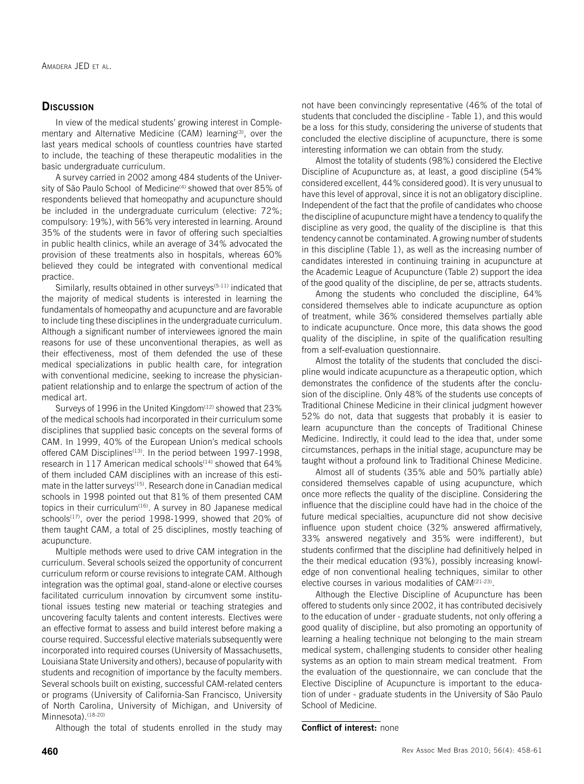## **Discussion**

In view of the medical students' growing interest in Complementary and Alternative Medicine (CAM) learning<sup>(3)</sup>, over the last years medical schools of countless countries have started to include, the teaching of these therapeutic modalities in the basic undergraduate curriculum.

A survey carried in 2002 among 484 students of the University of São Paulo School of Medicine<sup>(4)</sup> showed that over 85% of respondents believed that homeopathy and acupuncture should be included in the undergraduate curriculum (elective: 72%; compulsory: 19%), with 56% very interested in learning. Around 35% of the students were in favor of offering such specialties in public health clinics, while an average of 34% advocated the provision of these treatments also in hospitals, whereas 60% believed they could be integrated with conventional medical practice.

Similarly, results obtained in other surveys<sup>(5-11)</sup> indicated that the majority of medical students is interested in learning the fundamentals of homeopathy and acupuncture and are favorable to include ting these disciplines in the undergraduate curriculum. Although a significant number of interviewees ignored the main reasons for use of these unconventional therapies, as well as their effectiveness, most of them defended the use of these medical specializations in public health care, for integration with conventional medicine, seeking to increase the physicianpatient relationship and to enlarge the spectrum of action of the medical art.

Surveys of 1996 in the United Kingdom<sup>(12)</sup> showed that 23% of the medical schools had incorporated in their curriculum some disciplines that supplied basic concepts on the several forms of CAM. In 1999, 40% of the European Union's medical schools offered CAM Disciplines<sup>(13)</sup>. In the period between 1997-1998, research in 117 American medical schools<sup>(14)</sup> showed that 64% of them included CAM disciplines with an increase of this estimate in the latter surveys<sup>(15)</sup>. Research done in Canadian medical schools in 1998 pointed out that 81% of them presented CAM topics in their curriculum<sup>(16)</sup>. A survey in 80 Japanese medical schools<sup>(17)</sup>, over the period 1998-1999, showed that 20% of them taught CAM, a total of 25 disciplines, mostly teaching of acupuncture.

Multiple methods were used to drive CAM integration in the curriculum. Several schools seized the opportunity of concurrent curriculum reform or course revisions to integrate CAM. Although integration was the optimal goal, stand-alone or elective courses facilitated curriculum innovation by circumvent some institutional issues testing new material or teaching strategies and uncovering faculty talents and content interests. Electives were an effective format to assess and build interest before making a course required. Successful elective materials subsequently were incorporated into required courses (University of Massachusetts, Louisiana State University and others), because of popularity with students and recognition of importance by the faculty members. Several schools built on existing, successful CAM-related centers or programs (University of California-San Francisco, University of North Carolina, University of Michigan, and University of Minnesota).<sup>(18-20)</sup>

Although the total of students enrolled in the study may

not have been convincingly representative (46% of the total of students that concluded the discipline - Table 1), and this would be a loss for this study, considering the universe of students that concluded the elective discipline of acupuncture, there is some interesting information we can obtain from the study.

Almost the totality of students (98%) considered the Elective Discipline of Acupuncture as, at least, a good discipline (54% considered excellent, 44% considered good). It is very unusual to have this level of approval, since it is not an obligatory discipline. Independent of the fact that the profile of candidates who choose the discipline of acupuncture might have a tendency to qualify the discipline as very good, the quality of the discipline is that this tendency cannot be contaminated. A growing number of students in this discipline (Table 1), as well as the increasing number of candidates interested in continuing training in acupuncture at the Academic League of Acupuncture (Table 2) support the idea of the good quality of the discipline, de per se, attracts students.

Among the students who concluded the discipline, 64% considered themselves able to indicate acupuncture as option of treatment, while 36% considered themselves partially able to indicate acupuncture. Once more, this data shows the good quality of the discipline, in spite of the qualification resulting from a self-evaluation questionnaire.

Almost the totality of the students that concluded the discipline would indicate acupuncture as a therapeutic option, which demonstrates the confidence of the students after the conclusion of the discipline. Only 48% of the students use concepts of Traditional Chinese Medicine in their clinical judgment however 52% do not, data that suggests that probably it is easier to learn acupuncture than the concepts of Traditional Chinese Medicine. Indirectly, it could lead to the idea that, under some circumstances, perhaps in the initial stage, acupuncture may be taught without a profound link to Traditional Chinese Medicine.

Almost all of students (35% able and 50% partially able) considered themselves capable of using acupuncture, which once more reflects the quality of the discipline. Considering the influence that the discipline could have had in the choice of the future medical specialties, acupuncture did not show decisive influence upon student choice (32% answered affirmatively, 33% answered negatively and 35% were indifferent), but students confirmed that the discipline had definitively helped in the their medical education (93%), possibly increasing knowledge of non conventional healing techniques, similar to other elective courses in various modalities of CAM<sup>(21-23)</sup>.

Although the Elective Discipline of Acupuncture has been offered to students only since 2002, it has contributed decisively to the education of under - graduate students, not only offering a good quality of discipline, but also promoting an opportunity of learning a healing technique not belonging to the main stream medical system, challenging students to consider other healing systems as an option to main stream medical treatment. From the evaluation of the questionnaire, we can conclude that the Elective Discipline of Acupuncture is important to the education of under - graduate students in the University of São Paulo School of Medicine.

## **Conflict of interest:** none